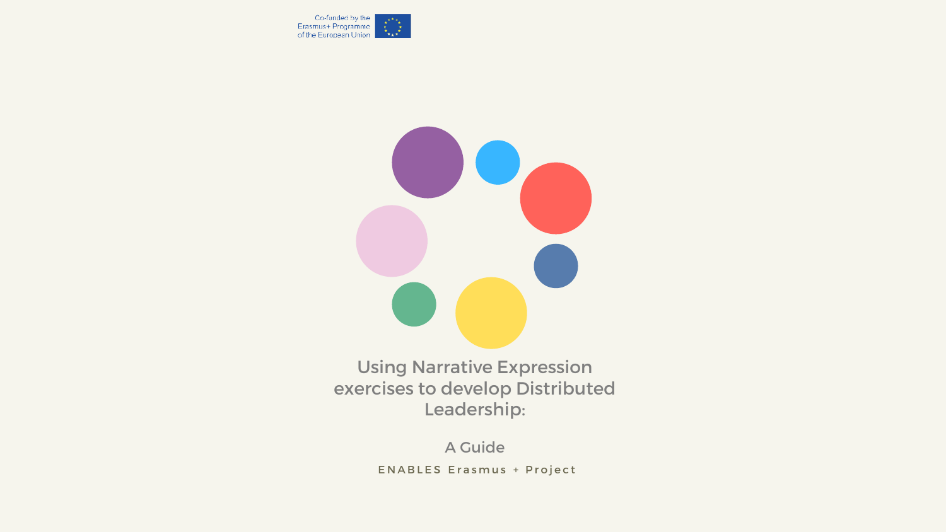



## Using Narrative Expression exercises to develop Distributed Leadership:

A Guide ENABLES Erasmus + Project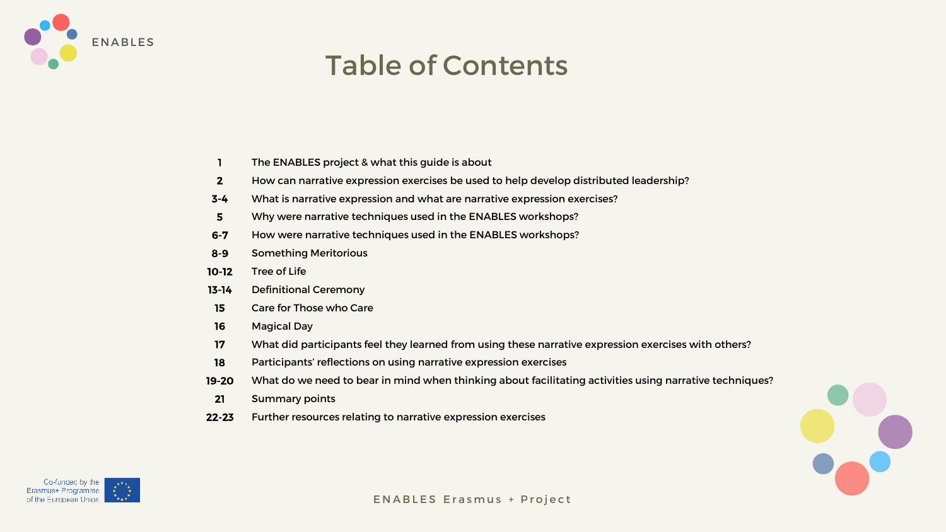# Table of Contents



- The ENABLES project & what this guide is about 1
- How can narrative expression exercises be used to help develop distributed leadership? 2
- What is narrative expression and what are narrative expression exercises? 3-4
- Why were narrative techniques used in the ENABLES workshops? 5
- How were narrative techniques used in the ENABLES workshops? 6-7
- Something Meritorious 8-9
- Tree of Life 10-12
- Definitional Ceremony 13-14
- Care for Those who Care 15
- Magical Day 16
- What did participants feel they learned from using these narrative expression exercises with others? 17
- Participants' reflections on using narrative expression exercises 18
- What do we need to bear in mind when thinking about facilitating activities using narrative techniques? 19-20
- Summary points 21
- Further resources relating to narrative expression exercises 22-23



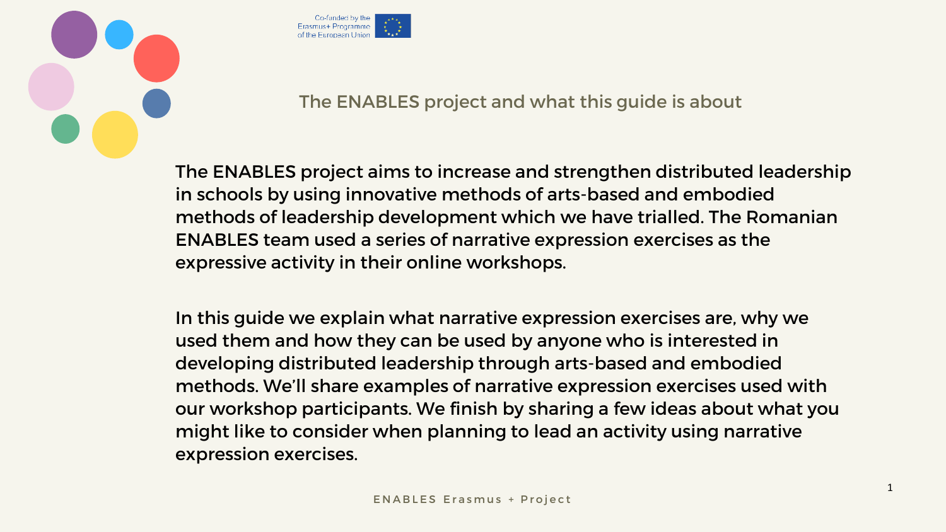



# The ENABLES project and what this guide is about

The ENABLES project aims to increase and strengthen distributed leadership in schools by using innovative methods of arts-based and embodied methods of leadership development which we have trialled. The Romanian ENABLES team used a series of narrative expression exercises as the expressive activity in their online workshops.

In this guide we explain what narrative expression exercises are, why we used them and how they can be used by anyone who is interested in developing distributed leadership through arts-based and embodied methods. We'll share examples of narrative expression exercises used with our workshop participants. We finish by sharing a few ideas about what you might like to consider when planning to lead an activity using narrative expression exercises.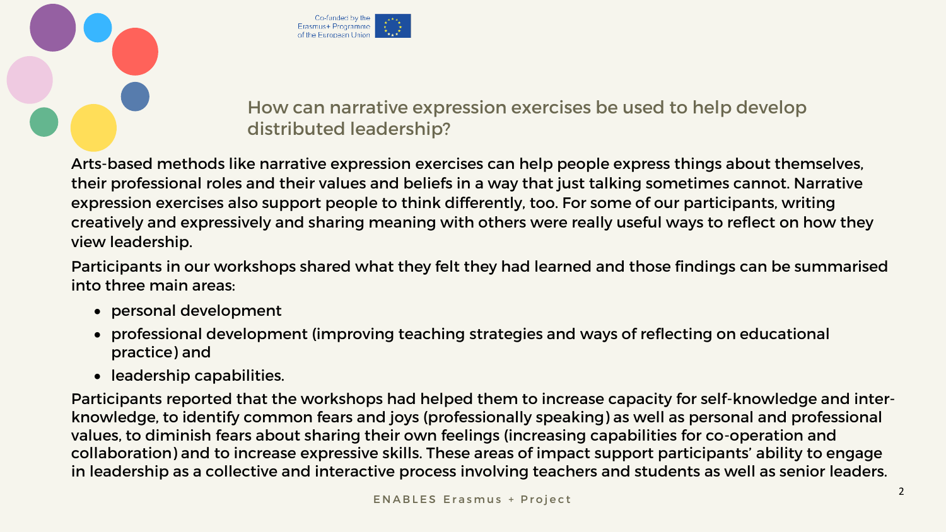



## How can narrative expression exercises be used to help develop distributed leadership?

Arts-based methods like narrative expression exercises can help people express things about themselves, their professional roles and their values and beliefs in a way that just talking sometimes cannot. Narrative expression exercises also support people to think differently, too. For some of our participants, writing creatively and expressively and sharing meaning with others were really useful ways to reflect on how they view leadership.

Participants in our workshops shared what they felt they had learned and those findings can be summarised into three main areas:

- personal development
- professional development (improving teaching strategies and ways of reflecting on educational practice) and
- leadership capabilities.

Participants reported that the workshops had helped them to increase capacity for self-knowledge and interknowledge, to identify common fears and joys (professionally speaking) as well as personal and professional values, to diminish fears about sharing their own feelings (increasing capabilities for co-operation and collaboration) and to increase expressive skills. These areas of impact support participants' ability to engage in leadership as a collective and interactive process involving teachers and students as well as senior leaders.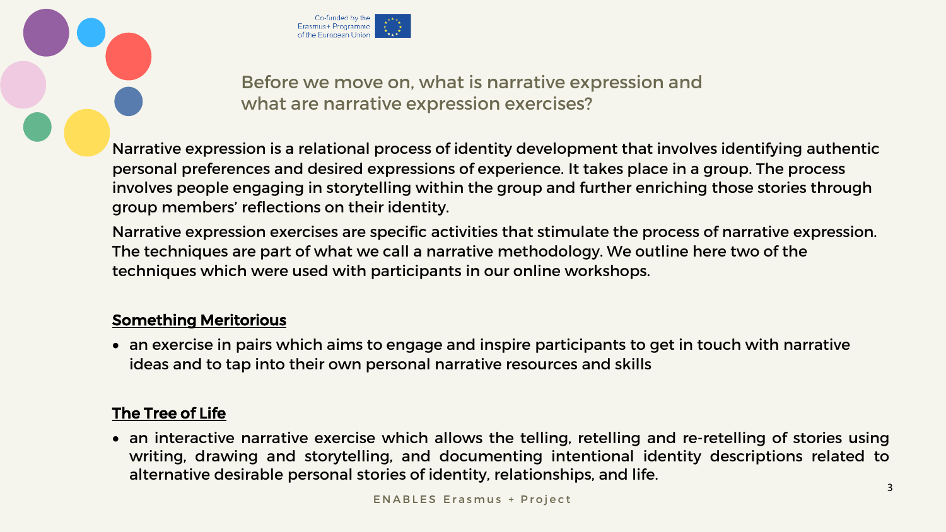



Before we move on, what is narrative expression and what are narrative expression exercises?

Narrative expression is a relational process of identity development that involves identifying authentic personal preferences and desired expressions of experience. It takes place in a group. The process involves people engaging in storytelling within the group and further enriching those stories through group members' reflections on their identity.

Narrative expression exercises are specific activities that stimulate the process of narrative expression. The techniques are part of what we call a narrative methodology. We outline here two of the techniques which were used with participants in our online workshops.

#### Something Meritorious

• an exercise in pairs which aims to engage and inspire participants to get in touch with narrative ideas and to tap into their own personal narrative resources and skills

#### The Tree of Life

• an interactive narrative exercise which allows the telling, retelling and re-retelling of stories using writing, drawing and storytelling, and documenting intentional identity descriptions related to alternative desirable personal stories of identity, relationships, and life.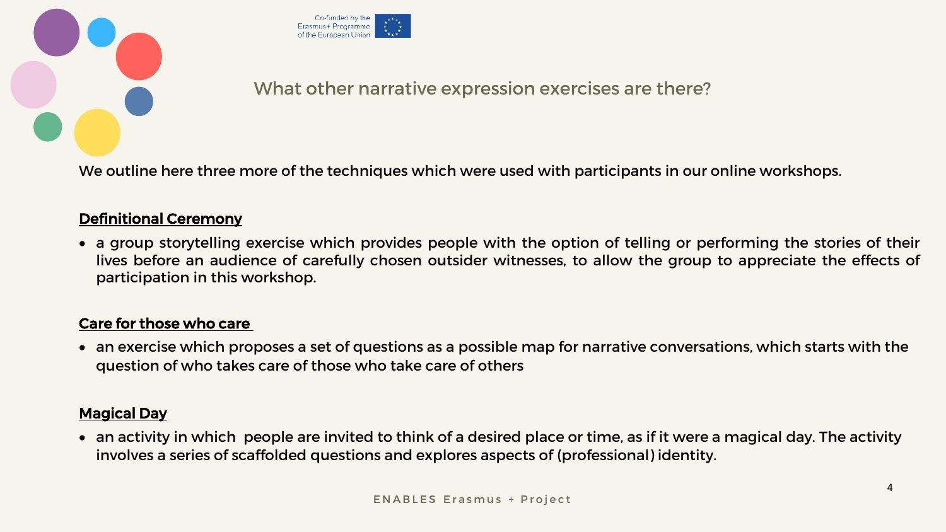



### What other narrative expression exercises are there?

We outline here three more of the techniques which were used with participants in our online workshops.

#### Definitional Ceremony

• a group storytelling exercise which provides people with the option of telling or performing the stories of their lives before an audience of carefully chosen outsider witnesses, to allow the group to appreciate the effects of participation in this workshop.

#### Care for those who care

• an exercise which proposes a set of questions as a possible map for narrative conversations, which starts with the question of who takes care of those who take care of others

#### Magical Day

• an activity in which people are invited to think of a desired place or time, as if it were a magical day. The activity involves a series of scaffolded questions and explores aspects of (professional) identity.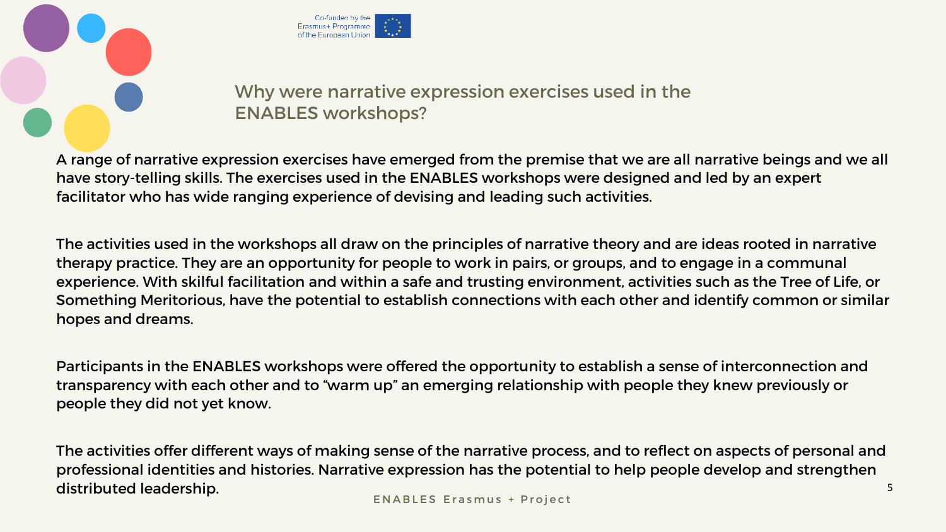



## Why were narrative expression exercises used in the ENABLES workshops?

A range of narrative expression exercises have emerged from the premise that we are all narrative beings and we all have story-telling skills. The exercises used in the ENABLES workshops were designed and led by an expert facilitator who has wide ranging experience of devising and leading such activities.

The activities offer different ways of making sense of the narrative process, and to reflect on aspects of personal and professional identities and histories. Narrative expression has the potential to help people develop and strengthen distributed leadership. The state of the state of the state of the state of the state of the state of the state of the state of the state of the state of the state of the state of the state of the state of the state of the

The activities used in the workshops all draw on the principles of narrative theory and are ideas rooted in narrative therapy practice. They are an opportunity for people to work in pairs, or groups, and to engage in a communal experience. With skilful facilitation and within a safe and trusting environment, activities such as the Tree of Life, or Something Meritorious, have the potential to establish connections with each other and identify common or similar hopes and dreams.

Participants in the ENABLES workshops were offered the opportunity to establish a sense of interconnection and transparency with each other and to "warm up" an emerging relationship with people they knew previously or people they did not yet know.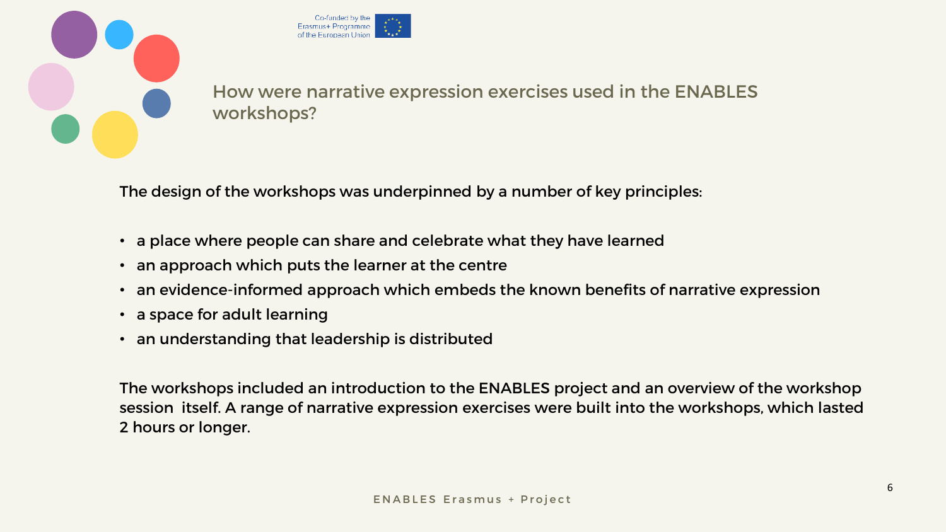



How were narrative expression exercises used in the ENABLES workshops?

The design of the workshops was underpinned by a number of key principles:

- a place where people can share and celebrate what they have learned
- an approach which puts the learner at the centre
- an evidence-informed approach which embeds the known benefits of narrative expression
- a space for adult learning
- an understanding that leadership is distributed

The workshops included an introduction to the ENABLES project and an overview of the workshop session itself. A range of narrative expression exercises were built into the workshops, which lasted 2 hours or longer.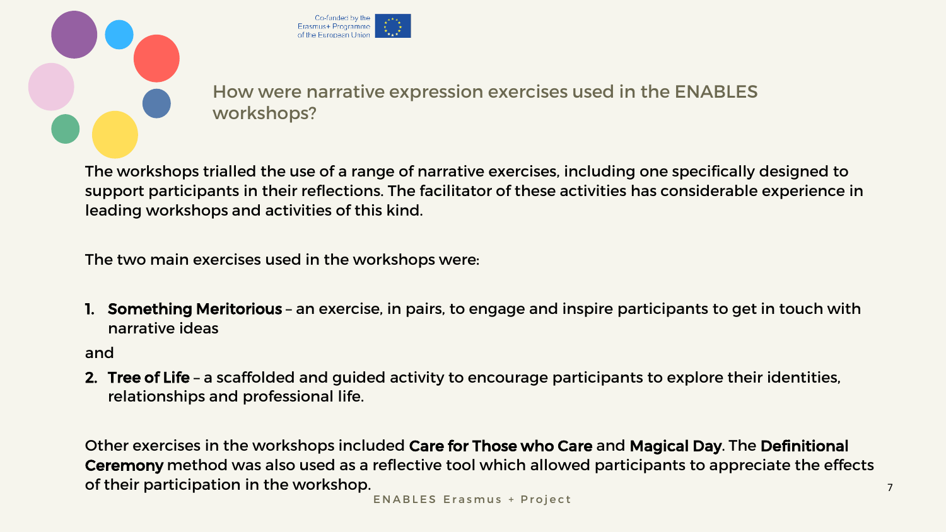



How were narrative expression exercises used in the ENABLES workshops?

The workshops trialled the use of a range of narrative exercises, including one specifically designed to support participants in their reflections. The facilitator of these activities has considerable experience in leading workshops and activities of this kind.

Other exercises in the workshops included Care for Those who Care and Magical Day. The Definitional Ceremony method was also used as a reflective tool which allowed participants to appreciate the effects of their participation in the workshop. The matrix of their participation in the workshop.

The two main exercises used in the workshops were:

1. Something Meritorious – an exercise, in pairs, to engage and inspire participants to get in touch with narrative ideas

and

2. Tree of Life – a scaffolded and guided activity to encourage participants to explore their identities, relationships and professional life.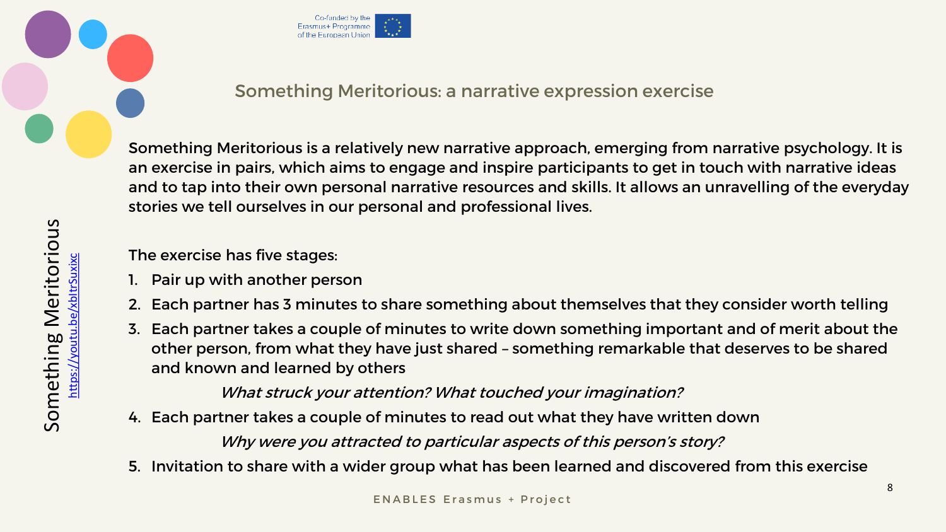# Something Meritorious: a narrative expression exercise





Something Meritorious is a relatively new narrative approach, emerging from narrative psychology. It is an exercise in pairs, which aims to engage and inspire participants to get in touch with narrative ideas and to tap into their own personal narrative resources and skills. It allows an unravelling of the everyday stories we tell ourselves in our personal and professional lives.

What struck your attention? What touched your imagination? 4. Each partner takes a couple of minutes to read out what they have written down Why were you attracted to particular aspects of this person's story?

The exercise has five stages:

- 1. Pair up with another person
- 2. Each partner has 3 minutes to share something about themselves that they consider worth telling
- 3. Each partner takes a couple of minutes to write down something important and of merit about the other person, from what they have just shared – something remarkable that deserves to be shared and known and learned by others

- 
- 5. Invitation to share with a wider group what has been learned and discovered from this exercise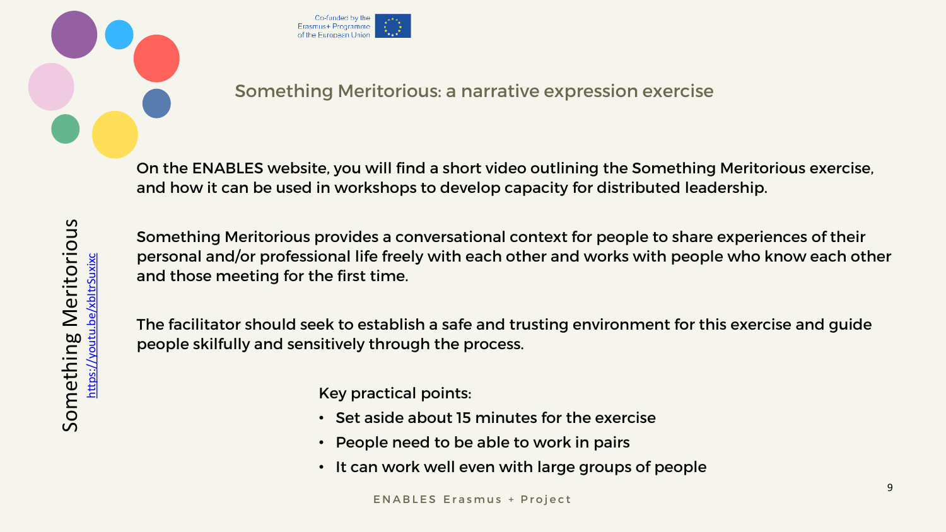



## Something Meritorious: a narrative expression exercise

On the ENABLES website, you will find a short video outlining the Something Meritorious exercise, and how it can be used in workshops to develop capacity for distributed leadership.

Something Meritorious provides a conversational context for people to share experiences of their personal and/or professional life freely with each other and works with people who know each other and those meeting for the first time.

The facilitator should seek to establish a safe and trusting environment for this exercise and guide people skilfully and sensitively through the process.

Key practical points:

- Set aside about 15 minutes for the exercise
- People need to be able to work in pairs
- It can work well even with large groups of people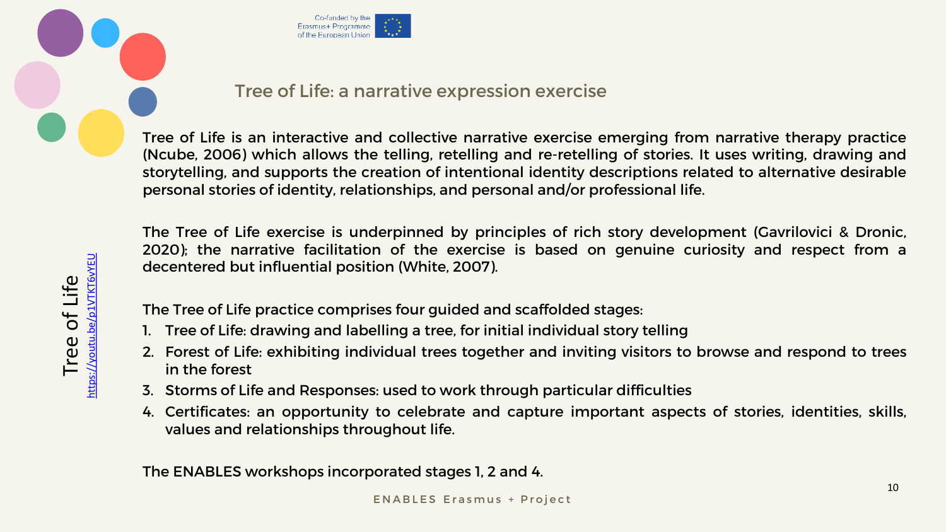

Tree of Life<br>https://youtu.be/p1VTKT6VYEU

### Tree of Life: a narrative expression exercise

<https://youtu.be/p1VTKT6vYEU>



Tree of Life is an interactive and collective narrative exercise emerging from narrative therapy practice (Ncube, 2006) which allows the telling, retelling and re-retelling of stories. It uses writing, drawing and storytelling, and supports the creation of intentional identity descriptions related to alternative desirable personal stories of identity, relationships, and personal and/or professional life.

The Tree of Life exercise is underpinned by principles of rich story development (Gavrilovici & Dronic, 2020); the narrative facilitation of the exercise is based on genuine curiosity and respect from a decentered but influential position (White, 2007).

The Tree of Life practice comprises four guided and scaffolded stages:

- 1. Tree of Life: drawing and labelling a tree, for initial individual story telling
- 2. Forest of Life: exhibiting individual trees together and inviting visitors to browse and respond to trees in the forest
- 3. Storms of Life and Responses: used to work through particular difficulties
- 4. Certificates: an opportunity to celebrate and capture important aspects of stories, identities, skills, values and relationships throughout life.

The ENABLES workshops incorporated stages 1, 2 and 4.

ENABLES Erasmus + Project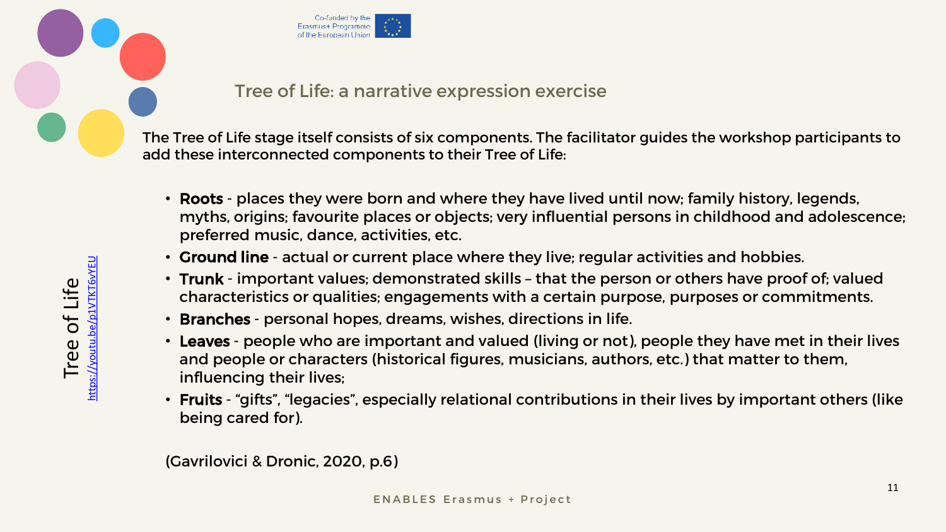



Tree of Life<br>https://youtu.be/p1VTKT6VYEU <https://youtu.be/p1VTKT6vYEU>

## Tree of Life: a narrative expression exercise

The Tree of Life stage itself consists of six components. The facilitator guides the workshop participants to add these interconnected components to their Tree of Life:

- Roots places they were born and where they have lived until now; family history, legends, myths, origins; favourite places or objects; very influential persons in childhood and adolescence; preferred music, dance, activities, etc.
- Ground line actual or current place where they live; regular activities and hobbies.
- Trunk important values; demonstrated skills that the person or others have proof of; valued characteristics or qualities; engagements with a certain purpose, purposes or commitments.
- Branches personal hopes, dreams, wishes, directions in life.
- Leaves people who are important and valued (living or not), people they have met in their lives and people or characters (historical figures, musicians, authors, etc.) that matter to them, influencing their lives;
- Fruits "gifts", "legacies", especially relational contributions in their lives by important others (like being cared for).

(Gavrilovici & Dronic, 2020, p.6)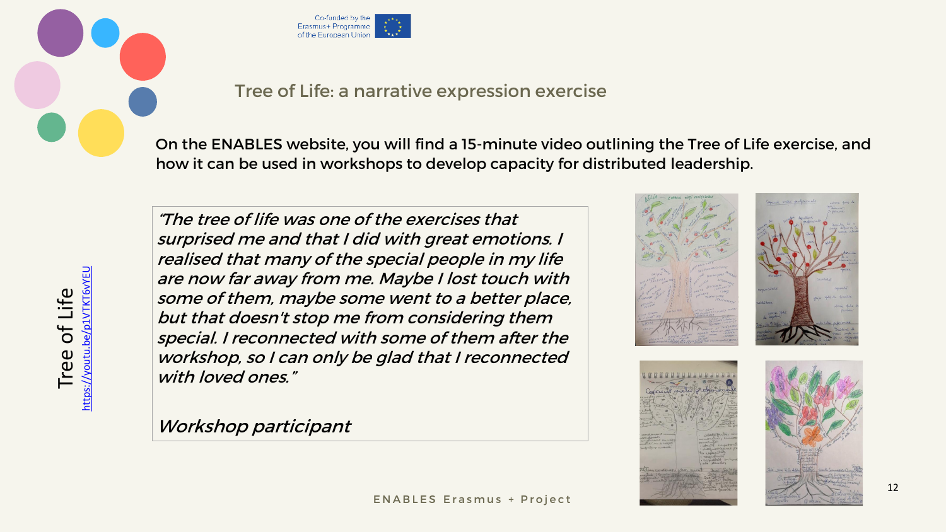<https://youtu.be/p1VTKT6vYEU> Tree of Life<br>
Woutu.be/p1VTKT6WEU 坦





### Tree of Life: a narrative expression exercise

"The tree of life was one of the exercises that surprised me and that I did with great emotions. I realised that many of the special people in my life are now far away from me. Maybe I lost touch with some of them, maybe some went to a better place, but that doesn't stop me from considering them special. I reconnected with some of them after the workshop, so I can only be glad that I reconnected with loved ones."

On the ENABLES website, you will find a 15-minute video outlining the Tree of Life exercise, and how it can be used in workshops to develop capacity for distributed leadership.

Workshop participant









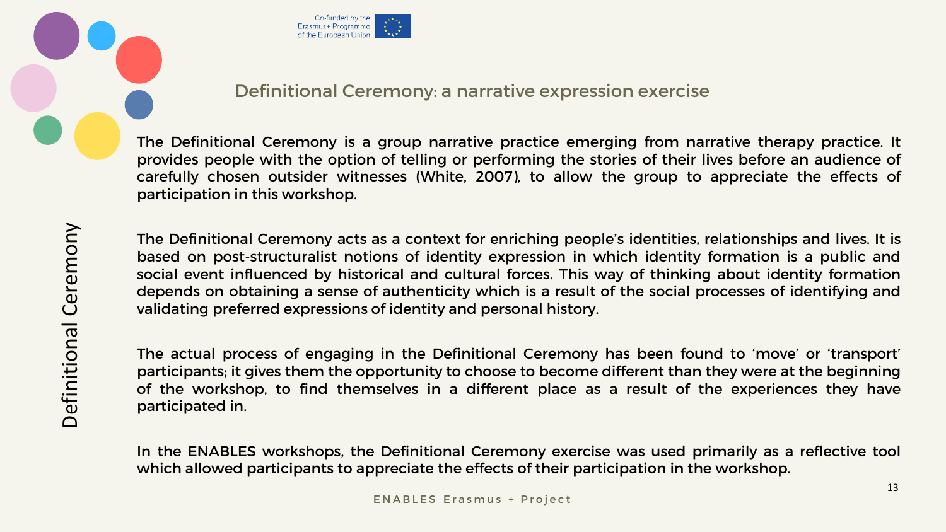



## Definitional Ceremony: a narrative expression exercise

The Definitional Ceremony is a group narrative practice emerging from narrative therapy practice. It provides people with the option of telling or performing the stories of their lives before an audience of carefully chosen outsider witnesses (White, 2007), to allow the group to appreciate the effects of participation in this workshop.

The Definitional Ceremony acts as a context for enriching people's identities, relationships and lives. It is based on post-structuralist notions of identity expression in which identity formation is a public and social event influenced by historical and cultural forces. This way of thinking about identity formation depends on obtaining a sense of authenticity which is a result of the social processes of identifying and validating preferred expressions of identity and personal history.

The actual process of engaging in the Definitional Ceremony has been found to 'move' or 'transport' participants; it gives them the opportunity to choose to become different than they were at the beginning of the workshop, to find themselves in a different place as a result of the experiences they have participated in.

In the ENABLES workshops, the Definitional Ceremony exercise was used primarily as a reflective tool which allowed participants to appreciate the effects of their participation in the workshop.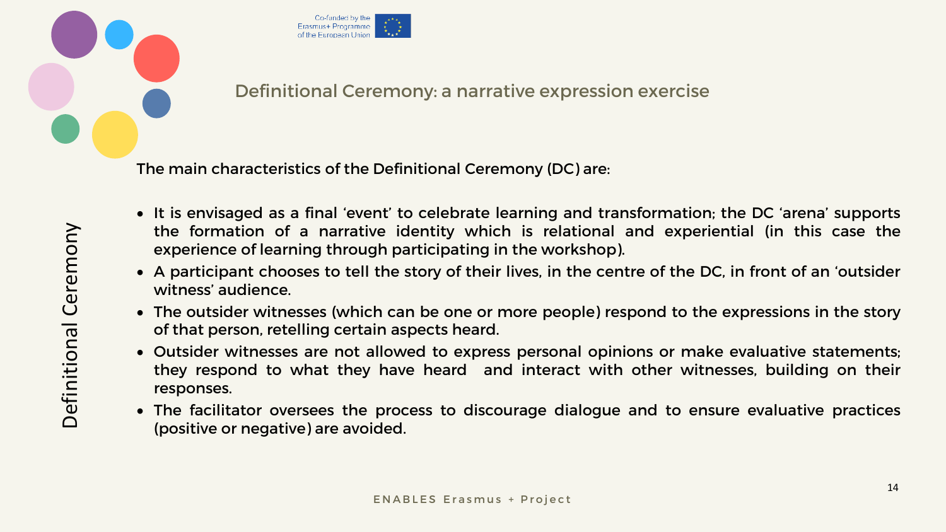



## Definitional Ceremony: a narrative expression exercise

The main characteristics of the Definitional Ceremony (DC) are:

- It is envisaged as a final 'event' to celebrate learning and transformation; the DC 'arena' supports the formation of a narrative identity which is relational and experiential (in this case the experience of learning through participating in the workshop).
- A participant chooses to tell the story of their lives, in the centre of the DC, in front of an 'outsider witness' audience.
- The outsider witnesses (which can be one or more people) respond to the expressions in the story of that person, retelling certain aspects heard.
- Outsider witnesses are not allowed to express personal opinions or make evaluative statements; they respond to what they have heard and interact with other witnesses, building on their responses.
- The facilitator oversees the process to discourage dialogue and to ensure evaluative practices (positive or negative) are avoided.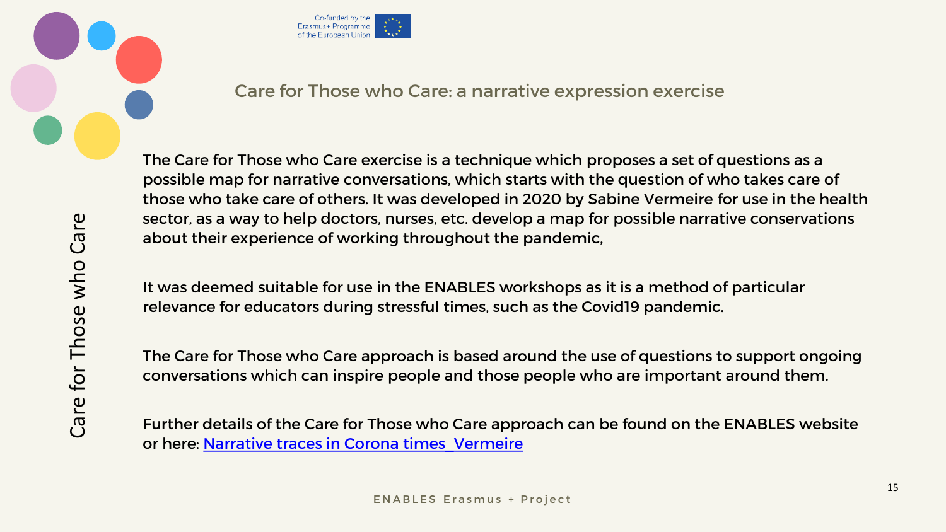



### Care for Those who Care: a narrative expression exercise

The Care for Those who Care exercise is a technique which proposes a set of questions as a possible map for narrative conversations, which starts with the question of who takes care of those who take care of others. It was developed in 2020 by Sabine Vermeire for use in the health sector, as a way to help doctors, nurses, etc. develop a map for possible narrative conservations about their experience of working throughout the pandemic,

Further details of the Care for Those who Care approach can be found on the ENABLES website or here: Narrative traces in Corona times Vermeire

It was deemed suitable for use in the ENABLES workshops as it is a method of particular relevance for educators during stressful times, such as the Covid19 pandemic.

The Care for Those who Care approach is based around the use of questions to support ongoing conversations which can inspire people and those people who are important around them.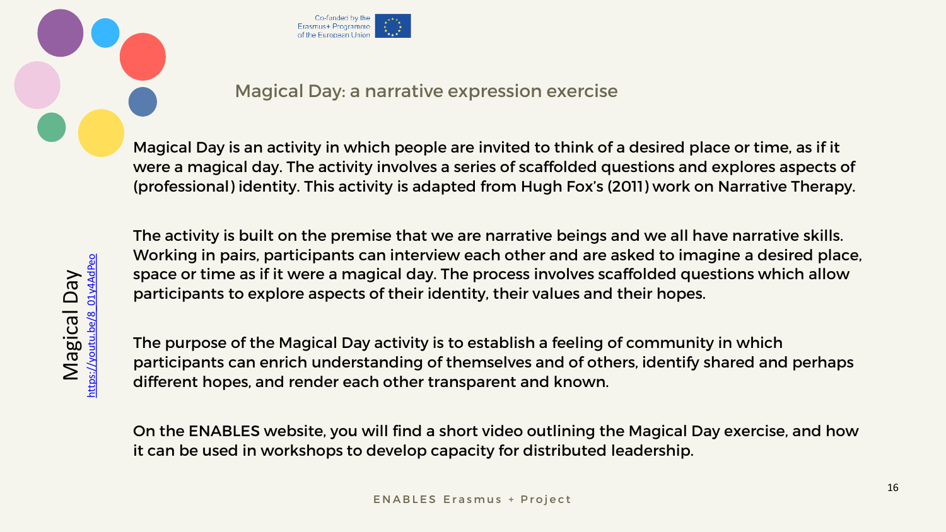



Magical Day<br>https://youtu.be/8 01y4AdPeo [https://youtu.be/8\\_01y4AdPeo](https://youtu.be/8_01y4AdPeo)

## Magical Day: a narrative expression exercise

Magical Day is an activity in which people are invited to think of a desired place or time, as if it were a magical day. The activity involves a series of scaffolded questions and explores aspects of (professional) identity. This activity is adapted from Hugh Fox's (2011) work on Narrative Therapy.

The activity is built on the premise that we are narrative beings and we all have narrative skills. Working in pairs, participants can interview each other and are asked to imagine a desired place, space or time as if it were a magical day. The process involves scaffolded questions which allow participants to explore aspects of their identity, their values and their hopes.

The purpose of the Magical Day activity is to establish a feeling of community in which participants can enrich understanding of themselves and of others, identify shared and perhaps different hopes, and render each other transparent and known.

On the ENABLES website, you will find a short video outlining the Magical Day exercise, and how it can be used in workshops to develop capacity for distributed leadership.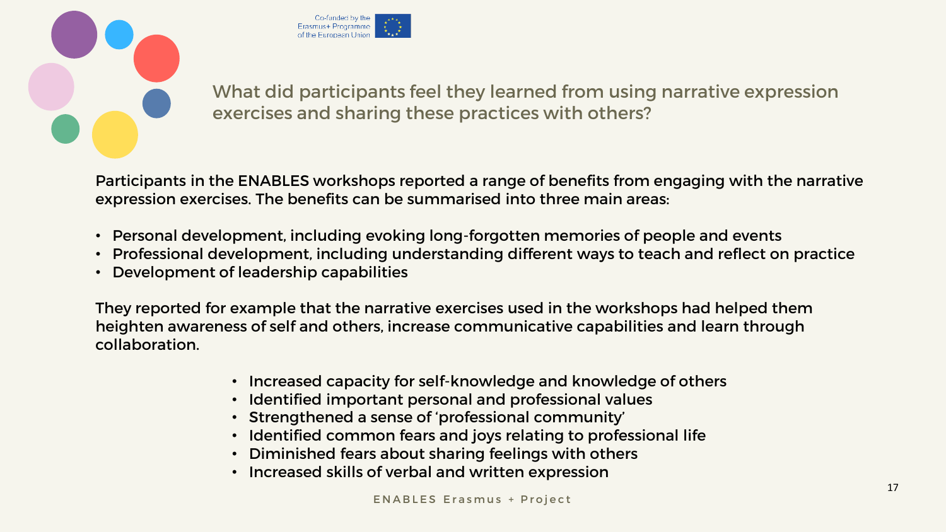



What did participants feel they learned from using narrative expression exercises and sharing these practices with others?

Participants in the ENABLES workshops reported a range of benefits from engaging with the narrative expression exercises. The benefits can be summarised into three main areas:

- Personal development, including evoking long-forgotten memories of people and events
- Professional development, including understanding different ways to teach and reflect on practice
- Development of leadership capabilities

They reported for example that the narrative exercises used in the workshops had helped them heighten awareness of self and others, increase communicative capabilities and learn through collaboration.

- Increased capacity for self-knowledge and knowledge of others
- Identified important personal and professional values
- Strengthened a sense of 'professional community'
- Identified common fears and joys relating to professional life
- Diminished fears about sharing feelings with others
- Increased skills of verbal and written expression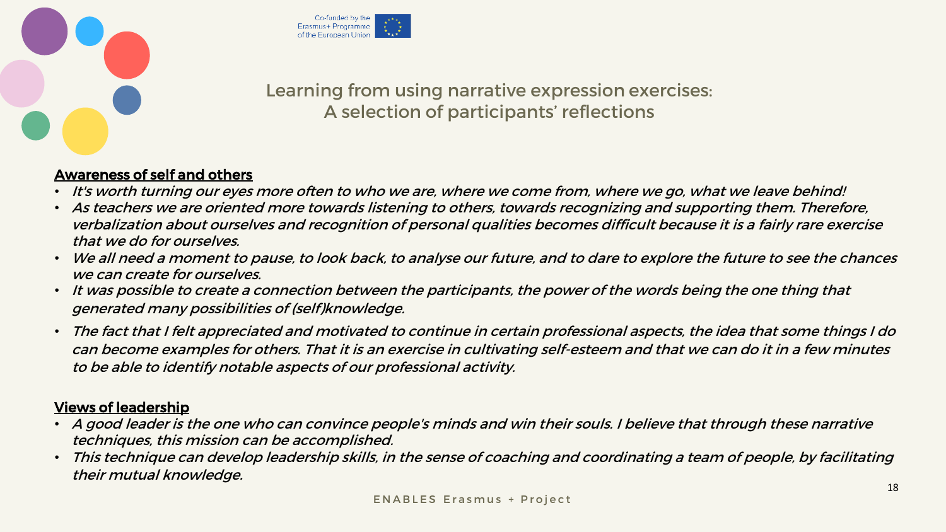



# Learning from using narrative expression exercises: A selection of participants' reflections

#### Awareness of self and others

- It's worth turning our eyes more often to who we are, where we come from, where we go, what we leave behind!
- As teachers we are oriented more towards listening to others, towards recognizing and supporting them. Therefore, verbalization about ourselves and recognition of personal qualities becomes difficult because it is a fairly rare exercise that we do for ourselves.
- We all need a moment to pause, to look back, to analyse our future, and to dare to explore the future to see the chances we can create for ourselves.
- It was possible to create a connection between the participants, the power of the words being the one thing that generated many possibilities of (self)knowledge.
- The fact that I felt appreciated and motivated to continue in certain professional aspects, the idea that some things I do can become examples for others. That it is an exercise in cultivating self-esteem and that we can do it in a few minutes to be able to identify notable aspects of our professional activity.

#### Views of leadership

- A good leader is the one who can convince people's minds and win their souls. I believe that through these narrative techniques, this mission can be accomplished.
- This technique can develop leadership skills, in the sense of coaching and coordinating a team of people, by facilitating their mutual knowledge.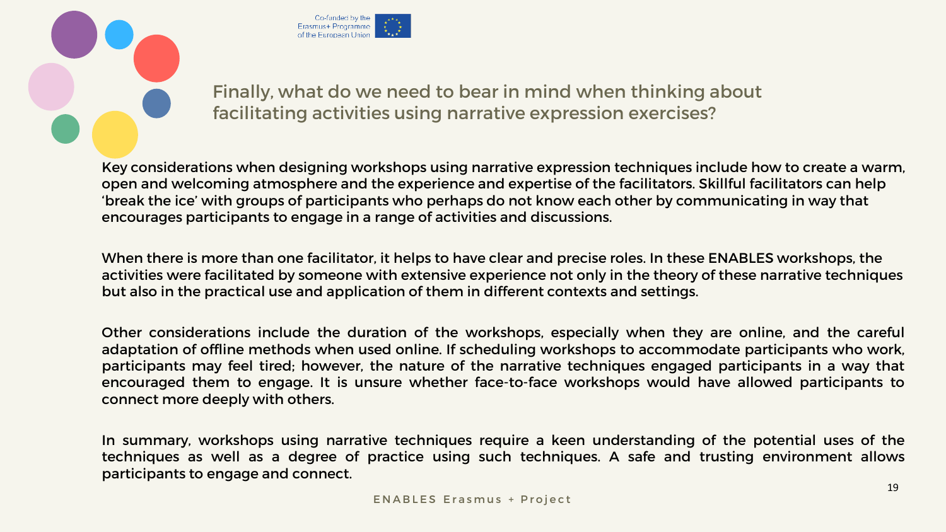



# Finally, what do we need to bear in mind when thinking about facilitating activities using narrative expression exercises?

Key considerations when designing workshops using narrative expression techniques include how to create a warm, open and welcoming atmosphere and the experience and expertise of the facilitators. Skillful facilitators can help 'break the ice' with groups of participants who perhaps do not know each other by communicating in way that encourages participants to engage in a range of activities and discussions.

When there is more than one facilitator, it helps to have clear and precise roles. In these ENABLES workshops, the activities were facilitated by someone with extensive experience not only in the theory of these narrative techniques but also in the practical use and application of them in different contexts and settings.

Other considerations include the duration of the workshops, especially when they are online, and the careful adaptation of offline methods when used online. If scheduling workshops to accommodate participants who work, participants may feel tired; however, the nature of the narrative techniques engaged participants in a way that encouraged them to engage. It is unsure whether face-to-face workshops would have allowed participants to connect more deeply with others.

In summary, workshops using narrative techniques require a keen understanding of the potential uses of the techniques as well as a degree of practice using such techniques. A safe and trusting environment allows participants to engage and connect.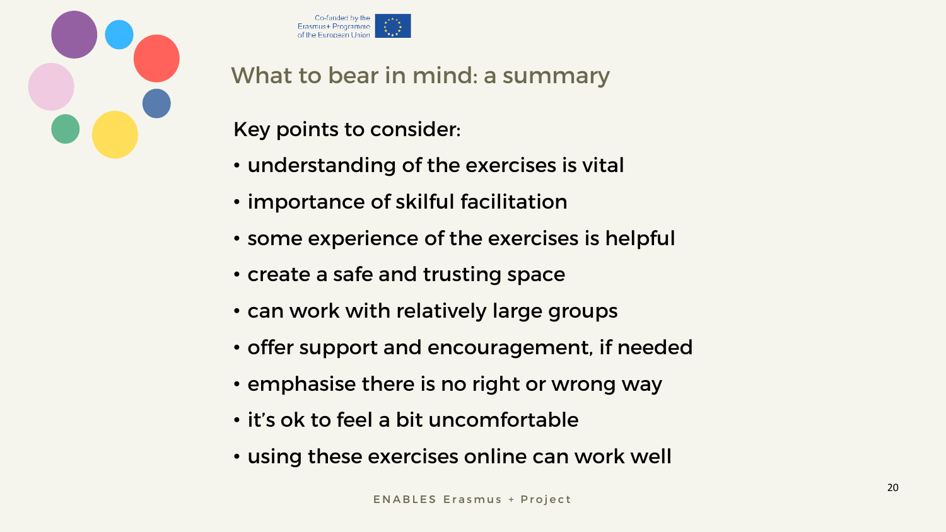



What to bear in mind: a summary

Key points to consider:

- understanding of the exercises is vital
- importance of skilful facilitation
- some experience of the exercises is helpful
- create a safe and trusting space
- can work with relatively large groups
- offer support and encouragement, if needed
- emphasise there is no right or wrong way
- it's ok to feel a bit uncomfortable
- using these exercises online can work well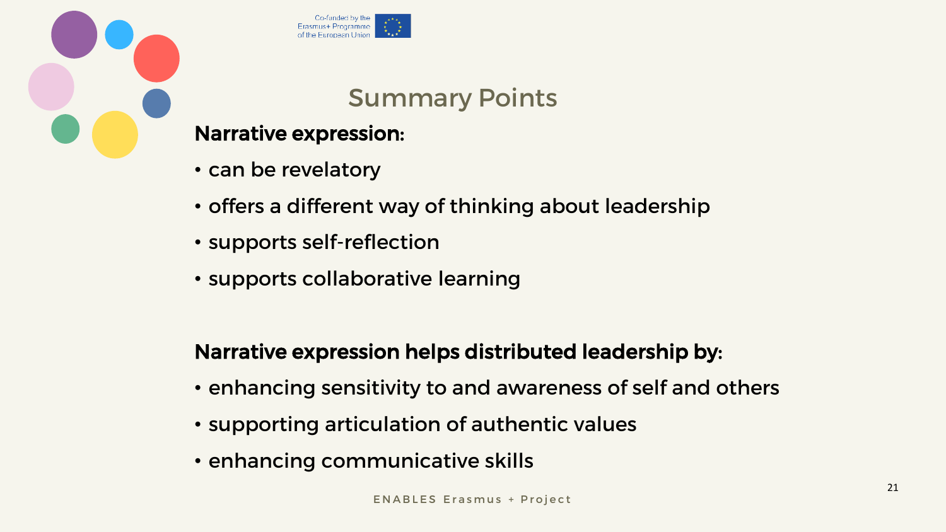



# Summary Points

# Narrative expression:

- can be revelatory
- offers a different way of thinking about leadership
- supports self-reflection
- supports collaborative learning

# Narrative expression helps distributed leadership by:

- enhancing sensitivity to and awareness of self and others
- supporting articulation of authentic values
- enhancing communicative skills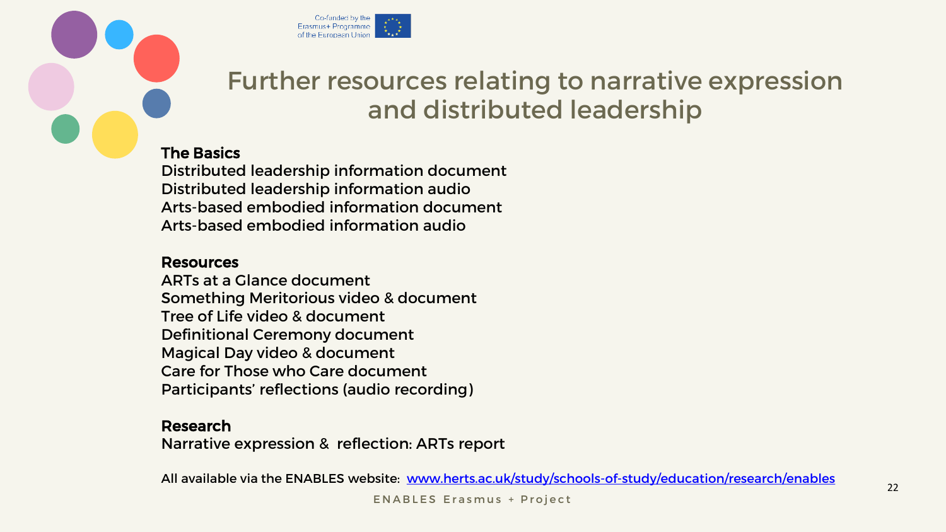



# Further resources relating to narrative expression and distributed leadership

#### The Basics

Distributed leadership information document Distributed leadership information audio Arts-based embodied information document Arts-based embodied information audio

#### Resources

ARTs at a Glance document Something Meritorious video & document Tree of Life video & document Definitional Ceremony document Magical Day video & document Care for Those who Care document Participants' reflections (audio recording)

#### Research

Narrative expression & reflection: ARTs report

All available via the ENABLES website: [www.herts.ac.uk/study/schools-of-study/education/research/enables](http://www.herts.ac.uk/study/schools-of-study/education/research/enables)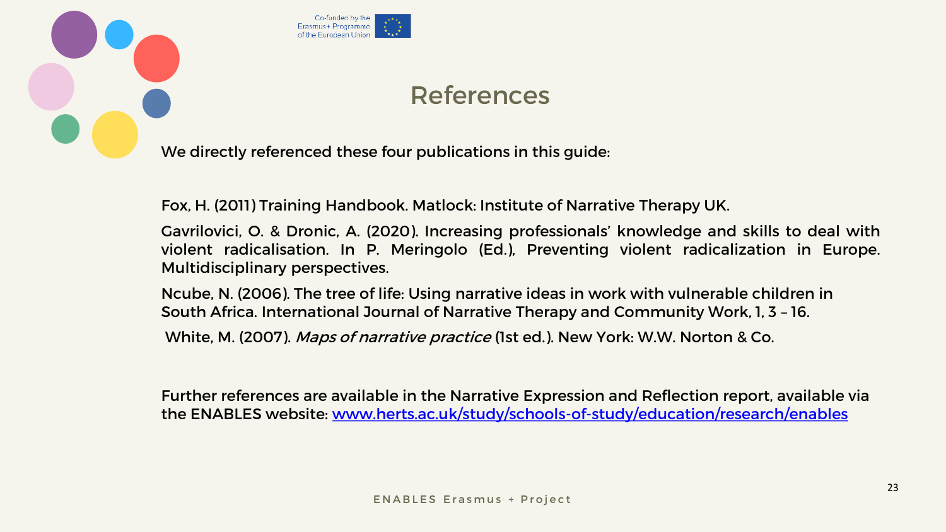

# References

We directly referenced these four publications in this guide:

Fox, H. (2011) Training Handbook. Matlock: Institute of Narrative Therapy UK.

Gavrilovici, O. & Dronic, A. (2020). Increasing professionals' knowledge and skills to deal with violent radicalisation. In P. Meringolo (Ed.), Preventing violent radicalization in Europe. Multidisciplinary perspectives.

Ncube, N. (2006). The tree of life: Using narrative ideas in work with vulnerable children in South Africa. International Journal of Narrative Therapy and Community Work, 1, 3 – 16.

White, M. (2007). Maps of narrative practice (1st ed.). New York: W.W. Norton & Co.

Further references are available in the Narrative Expression and Reflection report, available via the ENABLES website: [www.herts.ac.uk/study/schools-of-study/education/research/enables](http://www.herts.ac.uk/study/schools-of-study/education/research/enables)